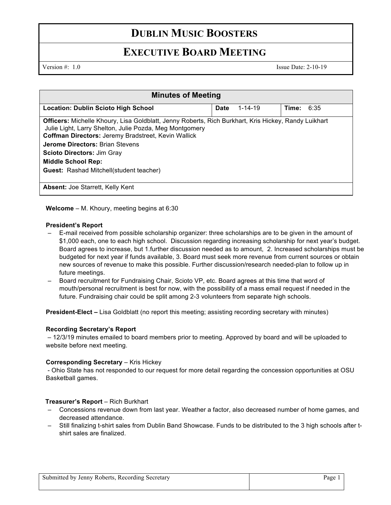# **DUBLIN MUSIC BOOSTERS**

# **EXECUTIVE BOARD MEETING**

Version  $\#$ : 1.0 Issue Date: 2-10-19

| <b>Minutes of Meeting</b>                                                                                                                                                                                                                                                                                                          |             |               |              |  |
|------------------------------------------------------------------------------------------------------------------------------------------------------------------------------------------------------------------------------------------------------------------------------------------------------------------------------------|-------------|---------------|--------------|--|
| <b>Location: Dublin Scioto High School</b>                                                                                                                                                                                                                                                                                         | <b>Date</b> | $1 - 14 - 19$ | Time: $6:35$ |  |
| Officers: Michelle Khoury, Lisa Goldblatt, Jenny Roberts, Rich Burkhart, Kris Hickey, Randy Luikhart<br>Julie Light, Larry Shelton, Julie Pozda, Meg Montgomery<br>Coffman Directors: Jeremy Bradstreet, Kevin Wallick<br><b>Jerome Directors: Brian Stevens</b><br><b>Scioto Directors: Jim Gray</b><br><b>Middle School Rep:</b> |             |               |              |  |
| <b>Guest:</b> Rashad Mitchell(student teacher)                                                                                                                                                                                                                                                                                     |             |               |              |  |
| <b>Absent:</b> Joe Starrett, Kelly Kent                                                                                                                                                                                                                                                                                            |             |               |              |  |

**Welcome** – M. Khoury, meeting begins at 6:30

### **President's Report**

- E-mail received from possible scholarship organizer: three scholarships are to be given in the amount of \$1,000 each, one to each high school. Discussion regarding increasing scholarship for next year's budget. Board agrees to increase, but 1.further discussion needed as to amount, 2. Increased scholarships must be budgeted for next year if funds available, 3. Board must seek more revenue from current sources or obtain new sources of revenue to make this possible. Further discussion/research needed-plan to follow up in future meetings.
- Board recruitment for Fundraising Chair, Scioto VP, etc. Board agrees at this time that word of mouth/personal recruitment is best for now, with the possibility of a mass email request if needed in the future. Fundraising chair could be split among 2-3 volunteers from separate high schools.

**President-Elect –** Lisa Goldblatt (no report this meeting; assisting recording secretary with minutes)

#### **Recording Secretary's Report**

– 12/3/19 minutes emailed to board members prior to meeting. Approved by board and will be uploaded to website before next meeting.

#### **Corresponding Secretary – Kris Hickey**

- Ohio State has not responded to our request for more detail regarding the concession opportunities at OSU Basketball games.

#### **Treasurer's Report** – Rich Burkhart

- Concessions revenue down from last year. Weather a factor, also decreased number of home games, and decreased attendance.
- Still finalizing t-shirt sales from Dublin Band Showcase. Funds to be distributed to the 3 high schools after tshirt sales are finalized.